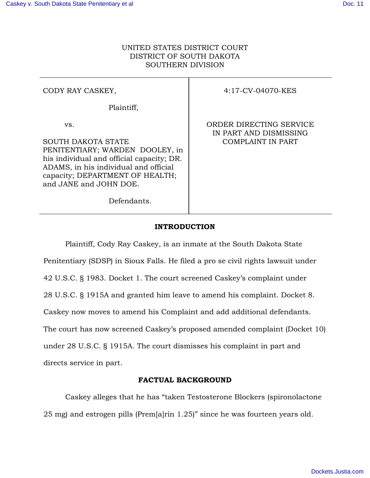## UNITED STATES DISTRICT COURT DISTRICT OF SOUTH DAKOTA SOUTHERN DIVISION

# CODY RAY CASKEY,

Plaintiff,

vs.

SOUTH DAKOTA STATE PENITENTIARY; WARDEN DOOLEY, in his individual and official capacity; DR. ADAMS, in his individual and official capacity; DEPARTMENT OF HEALTH; and JANE and JOHN DOE.

Defendants.

4:17-CV-04070-KES

ORDER DIRECTING SERVICE IN PART AND DISMISSING COMPLAINT IN PART

## **INTRODUCTION**

 Plaintiff, Cody Ray Caskey, is an inmate at the South Dakota State Penitentiary (SDSP) in Sioux Falls. He filed a pro se civil rights lawsuit under 42 U.S.C. § 1983. Docket 1. The court screened Caskey's complaint under 28 U.S.C. § 1915A and granted him leave to amend his complaint. Docket 8. Caskey now moves to amend his Complaint and add additional defendants. The court has now screened Caskey's proposed amended complaint (Docket 10) under 28 U.S.C. § 1915A. The court dismisses his complaint in part and directs service in part.

## **FACTUAL BACKGROUND**

Caskey alleges that he has "taken Testosterone Blockers (spironolactone 25 mg) and estrogen pills (Prem[a]rin 1.25)" since he was fourteen years old.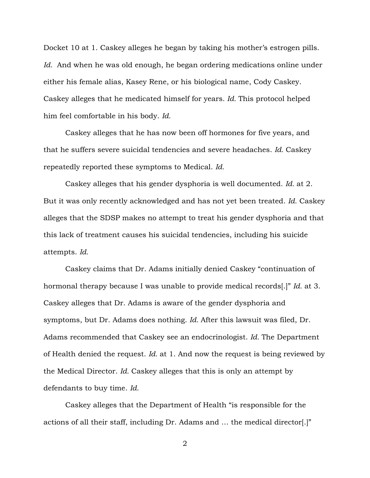Docket 10 at 1. Caskey alleges he began by taking his mother's estrogen pills. *Id.* And when he was old enough, he began ordering medications online under either his female alias, Kasey Rene, or his biological name, Cody Caskey. Caskey alleges that he medicated himself for years. *Id.* This protocol helped him feel comfortable in his body. *Id.*

 Caskey alleges that he has now been off hormones for five years, and that he suffers severe suicidal tendencies and severe headaches. *Id.* Caskey repeatedly reported these symptoms to Medical. *Id.*

Caskey alleges that his gender dysphoria is well documented. *Id.* at 2. But it was only recently acknowledged and has not yet been treated. *Id.* Caskey alleges that the SDSP makes no attempt to treat his gender dysphoria and that this lack of treatment causes his suicidal tendencies, including his suicide attempts. *Id.*

 Caskey claims that Dr. Adams initially denied Caskey "continuation of hormonal therapy because I was unable to provide medical records[.]" *Id.* at 3. Caskey alleges that Dr. Adams is aware of the gender dysphoria and symptoms, but Dr. Adams does nothing. *Id.* After this lawsuit was filed, Dr. Adams recommended that Caskey see an endocrinologist. *Id.* The Department of Health denied the request. *Id.* at 1. And now the request is being reviewed by the Medical Director. *Id.* Caskey alleges that this is only an attempt by defendants to buy time. *Id.* 

Caskey alleges that the Department of Health "is responsible for the actions of all their staff, including Dr. Adams and … the medical director[.]"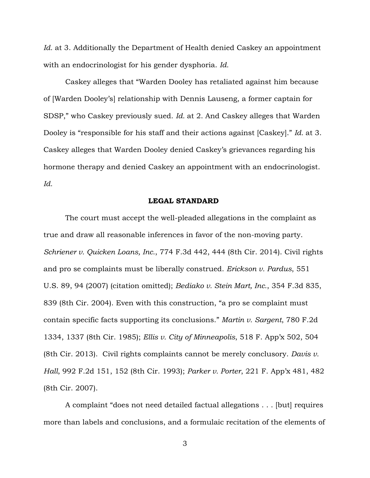*Id.* at 3. Additionally the Department of Health denied Caskey an appointment with an endocrinologist for his gender dysphoria. *Id.* 

Caskey alleges that "Warden Dooley has retaliated against him because of [Warden Dooley's] relationship with Dennis Lauseng, a former captain for SDSP," who Caskey previously sued. *Id.* at 2. And Caskey alleges that Warden Dooley is "responsible for his staff and their actions against [Caskey]." *Id.* at 3. Caskey alleges that Warden Dooley denied Caskey's grievances regarding his hormone therapy and denied Caskey an appointment with an endocrinologist. *Id.*

## **LEGAL STANDARD**

 The court must accept the well-pleaded allegations in the complaint as true and draw all reasonable inferences in favor of the non-moving party. *Schriener v. Quicken Loans, Inc.*, 774 F.3d 442, 444 (8th Cir. 2014). Civil rights and pro se complaints must be liberally construed. *Erickson v. Pardus*, 551 U.S. 89, 94 (2007) (citation omitted); *Bediako v. Stein Mart, Inc.*, 354 F.3d 835, 839 (8th Cir. 2004). Even with this construction, "a pro se complaint must contain specific facts supporting its conclusions." *Martin v. Sargent*, 780 F.2d 1334, 1337 (8th Cir. 1985); *Ellis v. City of Minneapolis*, 518 F. App'x 502, 504 (8th Cir. 2013). Civil rights complaints cannot be merely conclusory. *Davis v. Hall*, 992 F.2d 151, 152 (8th Cir. 1993); *Parker v. Porter*, 221 F. App'x 481, 482 (8th Cir. 2007).

A complaint "does not need detailed factual allegations . . . [but] requires more than labels and conclusions, and a formulaic recitation of the elements of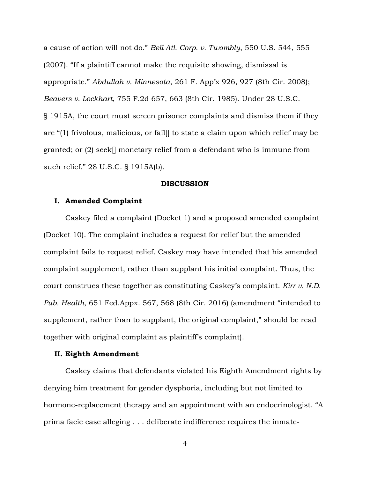a cause of action will not do." *Bell Atl. Corp. v. Twombly*, 550 U.S. 544, 555 (2007). "If a plaintiff cannot make the requisite showing, dismissal is appropriate." *Abdullah v. Minnesota*, 261 F. App'x 926, 927 (8th Cir. 2008); *Beavers v. Lockhart*, 755 F.2d 657, 663 (8th Cir. 1985). Under 28 U.S.C. § 1915A, the court must screen prisoner complaints and dismiss them if they are "(1) frivolous, malicious, or fail[] to state a claim upon which relief may be granted; or (2) seek[] monetary relief from a defendant who is immune from such relief." 28 U.S.C. § 1915A(b).

#### **DISCUSSION**

#### **I. Amended Complaint**

 Caskey filed a complaint (Docket 1) and a proposed amended complaint (Docket 10). The complaint includes a request for relief but the amended complaint fails to request relief. Caskey may have intended that his amended complaint supplement, rather than supplant his initial complaint. Thus, the court construes these together as constituting Caskey's complaint. *Kirr v. N.D. Pub. Health*, 651 Fed.Appx. 567, 568 (8th Cir. 2016) (amendment "intended to supplement, rather than to supplant, the original complaint," should be read together with original complaint as plaintiff's complaint).

### **II. Eighth Amendment**

 Caskey claims that defendants violated his Eighth Amendment rights by denying him treatment for gender dysphoria, including but not limited to hormone-replacement therapy and an appointment with an endocrinologist. "A prima facie case alleging . . . deliberate indifference requires the inmate-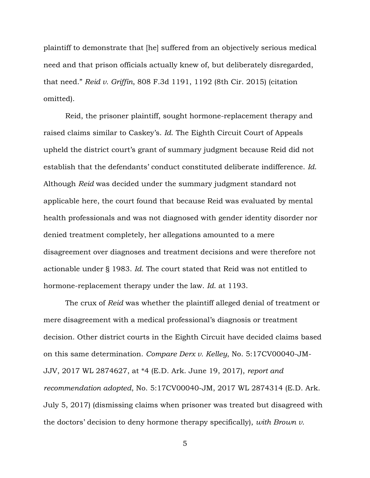plaintiff to demonstrate that [he] suffered from an objectively serious medical need and that prison officials actually knew of, but deliberately disregarded, that need." *Reid v. Griffin*, 808 F.3d 1191, 1192 (8th Cir. 2015) (citation omitted).

 Reid, the prisoner plaintiff, sought hormone-replacement therapy and raised claims similar to Caskey's. *Id*. The Eighth Circuit Court of Appeals upheld the district court's grant of summary judgment because Reid did not establish that the defendants' conduct constituted deliberate indifference. *Id*. Although *Reid* was decided under the summary judgment standard not applicable here, the court found that because Reid was evaluated by mental health professionals and was not diagnosed with gender identity disorder nor denied treatment completely, her allegations amounted to a mere disagreement over diagnoses and treatment decisions and were therefore not actionable under § 1983. *Id*. The court stated that Reid was not entitled to hormone-replacement therapy under the law. *Id*. at 1193.

 The crux of *Reid* was whether the plaintiff alleged denial of treatment or mere disagreement with a medical professional's diagnosis or treatment decision. Other district courts in the Eighth Circuit have decided claims based on this same determination. *Compare Derx v. Kelley*, No. 5:17CV00040-JM-JJV, 2017 WL 2874627, at \*4 (E.D. Ark. June 19, 2017), *report and recommendation adopted*, No. 5:17CV00040-JM, 2017 WL 2874314 (E.D. Ark. July 5, 2017) (dismissing claims when prisoner was treated but disagreed with the doctors' decision to deny hormone therapy specifically), *with Brown v.*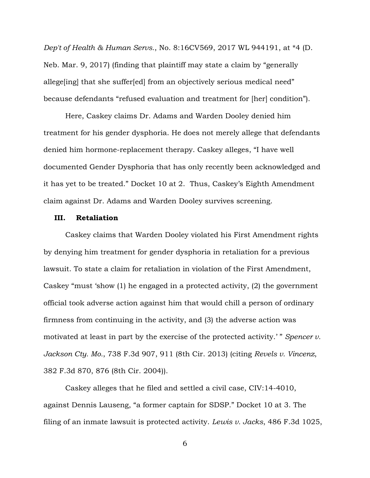*Dep't of Health & Human Servs.*, No. 8:16CV569, 2017 WL 944191, at \*4 (D. Neb. Mar. 9, 2017) (finding that plaintiff may state a claim by "generally allege[ing] that she suffer[ed] from an objectively serious medical need" because defendants "refused evaluation and treatment for [her] condition").

 Here, Caskey claims Dr. Adams and Warden Dooley denied him treatment for his gender dysphoria. He does not merely allege that defendants denied him hormone-replacement therapy. Caskey alleges, "I have well documented Gender Dysphoria that has only recently been acknowledged and it has yet to be treated." Docket 10 at 2. Thus, Caskey's Eighth Amendment claim against Dr. Adams and Warden Dooley survives screening.

#### **III. Retaliation**

 Caskey claims that Warden Dooley violated his First Amendment rights by denying him treatment for gender dysphoria in retaliation for a previous lawsuit. To state a claim for retaliation in violation of the First Amendment, Caskey "must 'show (1) he engaged in a protected activity, (2) the government official took adverse action against him that would chill a person of ordinary firmness from continuing in the activity, and (3) the adverse action was motivated at least in part by the exercise of the protected activity.'" *Spencer v. Jackson Cty. Mo.*, 738 F.3d 907, 911 (8th Cir. 2013) (citing *Revels v. Vincenz*, 382 F.3d 870, 876 (8th Cir. 2004)).

 Caskey alleges that he filed and settled a civil case, CIV:14-4010, against Dennis Lauseng, "a former captain for SDSP." Docket 10 at 3. The filing of an inmate lawsuit is protected activity. *Lewis v. Jacks*, 486 F.3d 1025,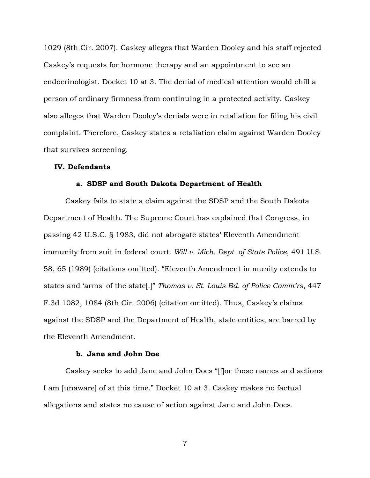1029 (8th Cir. 2007). Caskey alleges that Warden Dooley and his staff rejected Caskey's requests for hormone therapy and an appointment to see an endocrinologist. Docket 10 at 3. The denial of medical attention would chill a person of ordinary firmness from continuing in a protected activity. Caskey also alleges that Warden Dooley's denials were in retaliation for filing his civil complaint. Therefore, Caskey states a retaliation claim against Warden Dooley that survives screening.

### **IV. Defendants**

#### **a. SDSP and South Dakota Department of Health**

 Caskey fails to state a claim against the SDSP and the South Dakota Department of Health. The Supreme Court has explained that Congress, in passing 42 U.S.C. § 1983, did not abrogate states' Eleventh Amendment immunity from suit in federal court. *Will v. Mich. Dept. of State Police*, 491 U.S. 58, 65 (1989) (citations omitted). "Eleventh Amendment immunity extends to states and 'arms' of the state[.]" *Thomas v. St. Louis Bd. of Police Comm'rs*, 447 F.3d 1082, 1084 (8th Cir. 2006) (citation omitted). Thus, Caskey's claims against the SDSP and the Department of Health, state entities, are barred by the Eleventh Amendment.

#### **b. Jane and John Doe**

 Caskey seeks to add Jane and John Does "[f]or those names and actions I am [unaware] of at this time." Docket 10 at 3. Caskey makes no factual allegations and states no cause of action against Jane and John Does.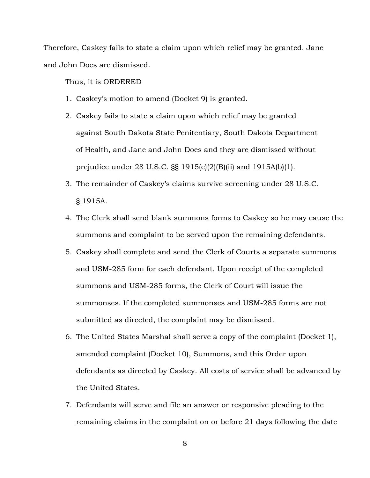Therefore, Caskey fails to state a claim upon which relief may be granted. Jane and John Does are dismissed.

Thus, it is ORDERED

- 1. Caskey's motion to amend (Docket 9) is granted.
- 2. Caskey fails to state a claim upon which relief may be granted against South Dakota State Penitentiary, South Dakota Department of Health, and Jane and John Does and they are dismissed without prejudice under 28 U.S.C. §§ 1915(e)(2)(B)(ii) and 1915A(b)(1).
- 3. The remainder of Caskey's claims survive screening under 28 U.S.C. § 1915A.
- 4. The Clerk shall send blank summons forms to Caskey so he may cause the summons and complaint to be served upon the remaining defendants.
- 5. Caskey shall complete and send the Clerk of Courts a separate summons and USM-285 form for each defendant. Upon receipt of the completed summons and USM-285 forms, the Clerk of Court will issue the summonses. If the completed summonses and USM-285 forms are not submitted as directed, the complaint may be dismissed.
- 6. The United States Marshal shall serve a copy of the complaint (Docket 1), amended complaint (Docket 10), Summons, and this Order upon defendants as directed by Caskey. All costs of service shall be advanced by the United States.
- 7. Defendants will serve and file an answer or responsive pleading to the remaining claims in the complaint on or before 21 days following the date
	- 8